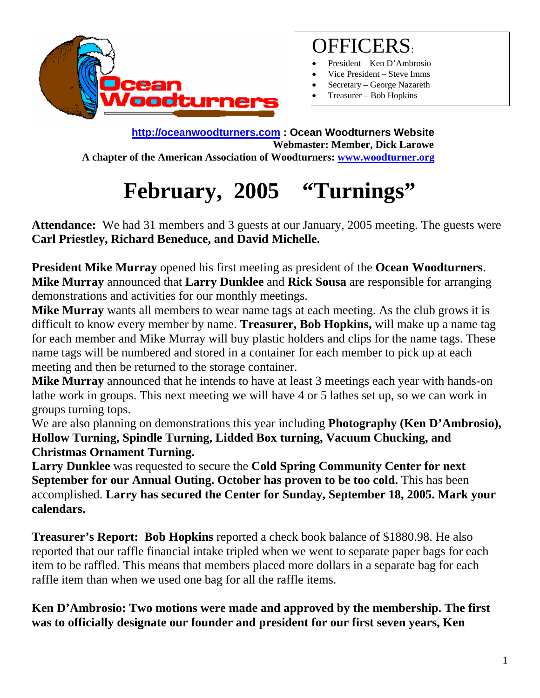

### OFFICERS:

- President Ken D'Ambrosio
- Vice President Steve Imms
- Secretary George Nazareth
- Treasurer Bob Hopkins

**[http://oceanwoodturners.com](http://oceanwoodturners.com/) : Ocean Woodturners Website Webmaster: Member, Dick Larowe A chapter of the American Association of Woodturners: [www.woodturner.org](http://www.woodturner.org/)** 

# **February, 2005 "Turnings"**

**Attendance:** We had 31 members and 3 guests at our January, 2005 meeting. The guests were **Carl Priestley, Richard Beneduce, and David Michelle.** 

**President Mike Murray** opened his first meeting as president of the **Ocean Woodturners**. **Mike Murray** announced that **Larry Dunklee** and **Rick Sousa** are responsible for arranging demonstrations and activities for our monthly meetings.

**Mike Murray** wants all members to wear name tags at each meeting. As the club grows it is difficult to know every member by name. **Treasurer, Bob Hopkins,** will make up a name tag for each member and Mike Murray will buy plastic holders and clips for the name tags. These name tags will be numbered and stored in a container for each member to pick up at each meeting and then be returned to the storage container.

**Mike Murray** announced that he intends to have at least 3 meetings each year with hands-on lathe work in groups. This next meeting we will have 4 or 5 lathes set up, so we can work in groups turning tops.

We are also planning on demonstrations this year including **Photography (Ken D'Ambrosio), Hollow Turning, Spindle Turning, Lidded Box turning, Vacuum Chucking, and Christmas Ornament Turning.** 

**Larry Dunklee** was requested to secure the **Cold Spring Community Center for next September for our Annual Outing. October has proven to be too cold.** This has been accomplished. **Larry has secured the Center for Sunday, September 18, 2005. Mark your calendars.** 

**Treasurer's Report: Bob Hopkins** reported a check book balance of \$1880.98. He also reported that our raffle financial intake tripled when we went to separate paper bags for each item to be raffled. This means that members placed more dollars in a separate bag for each raffle item than when we used one bag for all the raffle items.

**Ken D'Ambrosio: Two motions were made and approved by the membership. The first was to officially designate our founder and president for our first seven years, Ken**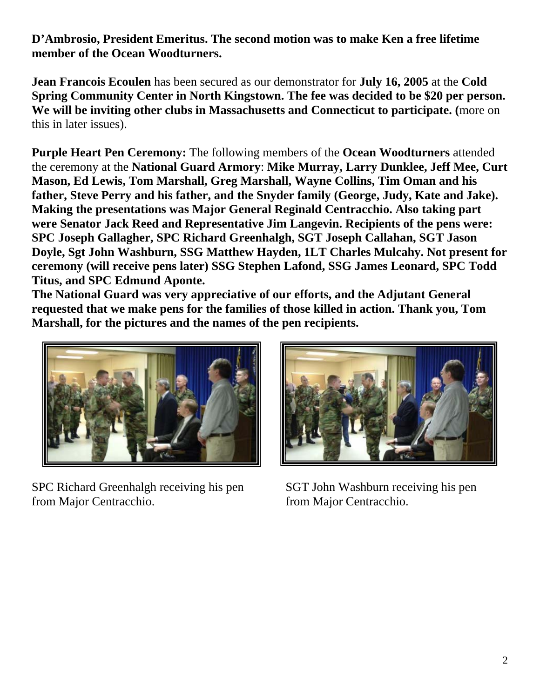**D'Ambrosio, President Emeritus. The second motion was to make Ken a free lifetime member of the Ocean Woodturners.** 

**Jean Francois Ecoulen** has been secured as our demonstrator for **July 16, 2005** at the **Cold Spring Community Center in North Kingstown. The fee was decided to be \$20 per person. We will be inviting other clubs in Massachusetts and Connecticut to participate. (**more on this in later issues).

**Purple Heart Pen Ceremony:** The following members of the **Ocean Woodturners** attended the ceremony at the **National Guard Armory**: **Mike Murray, Larry Dunklee, Jeff Mee, Curt Mason, Ed Lewis, Tom Marshall, Greg Marshall, Wayne Collins, Tim Oman and his father, Steve Perry and his father, and the Snyder family (George, Judy, Kate and Jake). Making the presentations was Major General Reginald Centracchio. Also taking part were Senator Jack Reed and Representative Jim Langevin. Recipients of the pens were: SPC Joseph Gallagher, SPC Richard Greenhalgh, SGT Joseph Callahan, SGT Jason Doyle, Sgt John Washburn, SSG Matthew Hayden, 1LT Charles Mulcahy. Not present for ceremony (will receive pens later) SSG Stephen Lafond, SSG James Leonard, SPC Todd Titus, and SPC Edmund Aponte.** 

**The National Guard was very appreciative of our efforts, and the Adjutant General requested that we make pens for the families of those killed in action. Thank you, Tom Marshall, for the pictures and the names of the pen recipients.** 



SPC Richard Greenhalgh receiving his pen SGT John Washburn receiving his pen from Major Centracchio. from Major Centracchio.

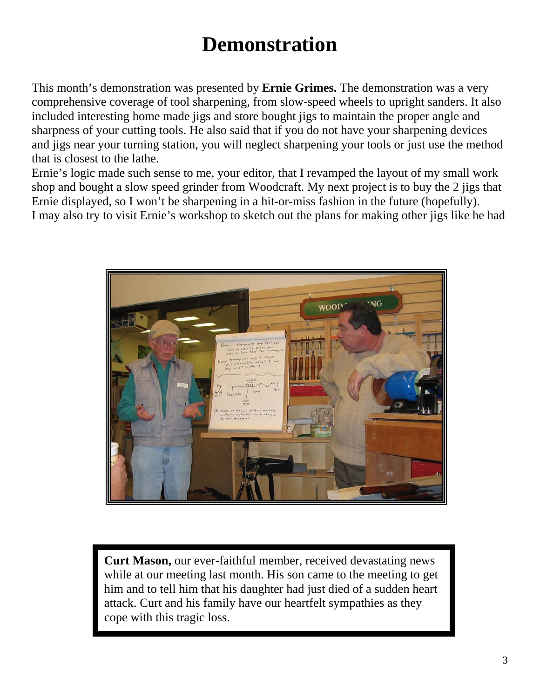# **Demonstration**

This month's demonstration was presented by **Ernie Grimes.** The demonstration was a very comprehensive coverage of tool sharpening, from slow-speed wheels to upright sanders. It also included interesting home made jigs and store bought jigs to maintain the proper angle and sharpness of your cutting tools. He also said that if you do not have your sharpening devices and jigs near your turning station, you will neglect sharpening your tools or just use the method that is closest to the lathe.

Ernie's logic made such sense to me, your editor, that I revamped the layout of my small work shop and bought a slow speed grinder from Woodcraft. My next project is to buy the 2 jigs that Ernie displayed, so I won't be sharpening in a hit-or-miss fashion in the future (hopefully). I may also try to visit Ernie's workshop to sketch out the plans for making other jigs like he had



**Curt Mason,** our ever-faithful member, received devastating news while at our meeting last month. His son came to the meeting to get him and to tell him that his daughter had just died of a sudden heart attack. Curt and his family have our heartfelt sympathies as they cope with this tragic loss.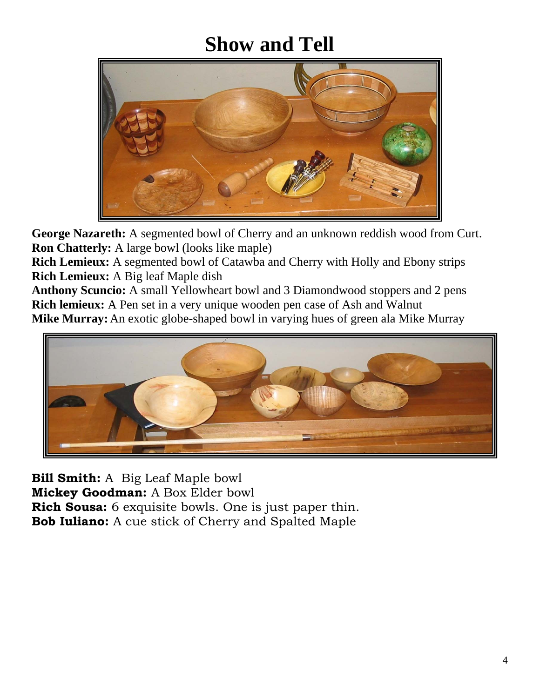## **Show and Tell**



**George Nazareth:** A segmented bowl of Cherry and an unknown reddish wood from Curt. **Ron Chatterly:** A large bowl (looks like maple)

**Rich Lemieux:** A segmented bowl of Catawba and Cherry with Holly and Ebony strips **Rich Lemieux:** A Big leaf Maple dish

**Anthony Scuncio:** A small Yellowheart bowl and 3 Diamondwood stoppers and 2 pens **Rich lemieux:** A Pen set in a very unique wooden pen case of Ash and Walnut **Mike Murray:**An exotic globe-shaped bowl in varying hues of green ala Mike Murray



**Bill Smith:** A Big Leaf Maple bowl **Mickey Goodman:** A Box Elder bowl **Rich Sousa:** 6 exquisite bowls. One is just paper thin. **Bob Iuliano:** A cue stick of Cherry and Spalted Maple